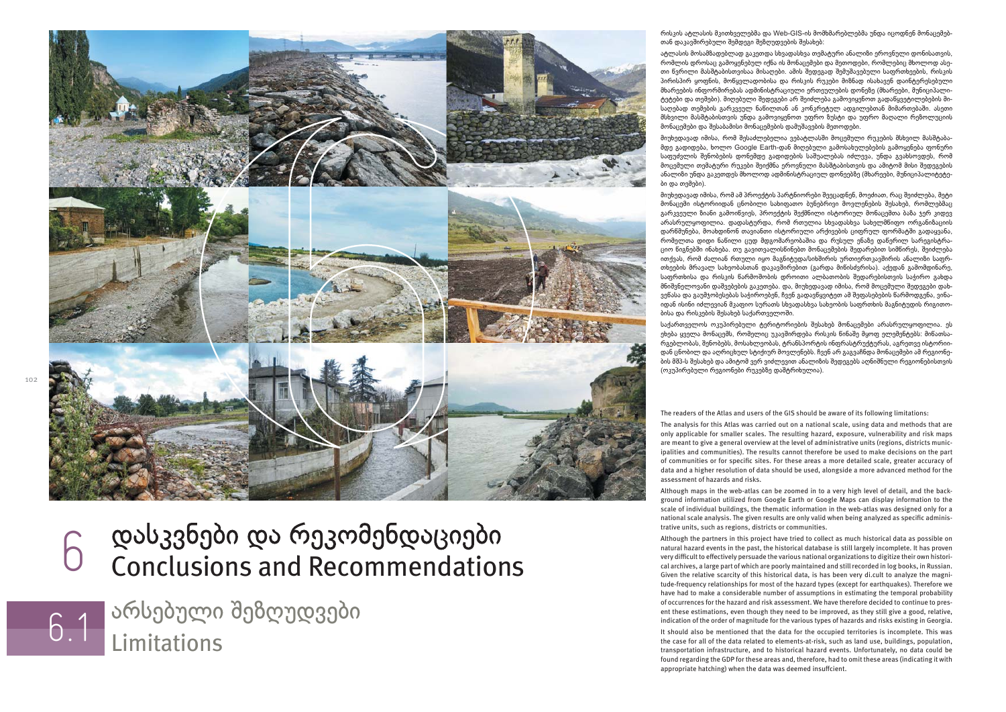

## დასკვნები და რეკომენდაციები 6Conclusions and Recommendations

Limitations აჽსებული შეზღუდვები

რისკის ატლასის მკითხველებმა და Web-GIS-ის მომხმარებლებმა უნდა იცოდნენ მონაცემებთან დაკავშირებული შემდეგი შეზღუდვების შესახებ:

ატლასის მოსამზადებლად გაკეთდა სხვადასხვა თემატური ანალიზი ეროვნული დონისათვის, რომლის დროსაც გამოყენებულ იქნა ის მონაცემები და მეთოდები, რომლებიც მხოლოდ ასეთი წვრილი მასშტაბისთვისაა მისაღები. ამის შედეგად შემუშავებული საფრთხეების, რისკის პირისპირ ყოფნის, მოწყვლადობისა და რისკის რუკები მიზნად ისახავენ დაინტერესებული მხარეების ინფორმირებას ადმინისტრაციული ერთეულების დონეზე (მხარეები, მუნიციპალიტეტები და თემები). მიღებული შედეგები არ შეიძლება გამოვიყენოთ გადაწყვეტილებების მისაღებად თემების გარკვეულ ნაწილთან ან კონკრეტულ ადგილებთან მიმართებაში. ასეთი მსხვილი მასშტაბისთვის უნდა გამოვიყენოთ უფრო ზუსტი და უფრო მაღალი რეზოლუციის მონაემები და შესაბამისი მონაემების დამუშავების მეთოდები.

მიუხედავად იმისა, რომ შესაძლებელია ვებატლასში მოცემული რუკების მსხვილ მასშტაბამდე გადიდება, ხოლო Google Earth-დან მიღებული გამოსახულებების გამოყენება ფონური საფუძვლის შენობების დონემდე გადიდების საშუალებას იძლევა, უნდა გვახსოვდეს, რომ მოცემული თემატური რუკები შეიქმნა ეროვნული მასშტაბისთვის და ამიტომ მისი შედეგების ანალიზი უნდა გაკეთდეს მხოლოდ ადმინისტრაციულ დონეებზე (მხარეები, მუნიციპალიტეტები და თემები).

მიუხედავად იმისა, რომ ამ პროექტის პარტნიორები შეეცადნენ, მოეძიათ, რაც შეიძლება, მეტი მონაცემი ისტორიიდან ცნობილი სახიფათო ბუნებრივი მოვლენების შესახებ, რომლებმაც გარკვეული ზიანი გამოიწვიეს, პროექტის შექმნილი ისტორიულ მონაცემთა ბაზა ჯერ კიდევ არასრულყოფილია. დადასტურდა, რომ რთულია სხვადასხვა სახელმწიფო ორგანიზაციის დარწმუნება, მოახდინონ თავიანთი ისტორიული არქივების ცითრულ თორმატში გადაყვანა, რომელთა დიდი ნაწილი ცუდ მდგომარეობაშია და რუსულ ენაზე დაწერილ სარეგისტრაიო იგნებში ინახება. თუ გავითვალისინებთ მონაემების შედაჽებით სიმიჽეს, შეიძლება ითქვას, რომ ძალიან რთული იყო მაგნიტუდა/სიხშირის ურთიერთკავშირის ანალიზი საფრთხეების მრავალ სახეობასთან დაკავშირებით (გარდა მიწისძვრისა). აქედან გამომდინარე, საფრთხისა და რისკის წარმოშობის დროითი ალბათობის შედარებისთვის საჭირო გახდა მნიშვნელოვანი დაშვებების გაკეთება. და, მიუხედავად იმისა, ჽომ მოემული შედეგები დახვენასა და გაუმჯობესებას საჭიროებენ, ჩვენ გადავწყვიტეთ ამ შეფასებების წარმოდგენა, ვინაიდან ისინი იძლევიან მკაფიო სურათს სხვადასხვა სახეობის საფრთხის მაგნიტუდის რიგითობისა და რისკების შესახებ საქართველოში.

საქართველოს ოკუპირებული ტერიტორიების შესახებ მონაცემები არასრულყოფილია. ეს ეხება ყველა მონაცემს, რომელიც უკავშირდება რისკის წინაშე მყოფ ელემენტებს: მიწათსარგებლობას, შენობებს, მოსახლეობას, ტრანსპორტის ინფრასტრუქტურას, აგრეთვე ისტორიიდან ცნობილ და აღრიცხულ სტიქიურ მოვლენებს. ჩვენ არ გაგვაჩნდა მონაცემები ამ რეგიონების მშპ-ს შესახებ და ამიტომ ვერ ვიძლევით ანალიზის შედეგებს აღნიშნული რეგიონებისთვის (ოკუპირებული რეგიონები რუკებზე დაშტრიხულია).

The readers of the Atlas and users of the GIS should be aware of its following limitations:

The analysis for this Atlas was carried out on a national scale, using data and methods that are only applicable for smaller scales. The resulting hazard, exposure, vulnerability and risk maps are meant to give a general overview at the level of administrative units (regions, districts municipalities and communities). The results cannot therefore be used to make decisions on the part of communities or for specific sites. For these areas a more detailed scale, greater accuracy of data and a higher resolution of data should be used, alongside a more advanced method for the assessment of hazards and risks.

Although maps in the web-atlas can be zoomed in to a very high level of detail, and the background information utilized from Google Earth or Google Maps can display information to the scale of individual buildings, the thematic information in the web-atlas was designed only for a national scale analysis. The given results are only valid when being analyzed as specific administrative units, such as regions, districts or communities.

Although the partners in this project have tried to collect as much historical data as possible on natural hazard events in the past, the historical database is still largely incomplete. It has proven very difficult to effectively persuade the various national organizations to digitize their own historical archives, a large part of which are poorly maintained and still recorded in log books, in Russian. Given the relative scarcity of this historical data, is has been very di.cult to analyze the magnitude-frequency relationships for most of the hazard types (except for earthquakes). Therefore we have had to make a considerable number of assumptions in estimating the temporal probability of occurrences for the hazard and risk assessment. We have therefore decided to continue to present these estimations, even though they need to be improved, as they still give a good, relative, indication of the order of magnitude for the various types of hazards and risks existing in Georgia.

It should also be mentioned that the data for the occupied territories is incomplete. This was the case for all of the data related to elements-at-risk, such as land use, buildings, population, transportation infrastructure, and to historical hazard events. Unfortunately, no data could be found regarding the GDP for these areas and, therefore, had to omit these areas (indicating it with appropriate hatching) when the data was deemed insuffcient.

6.1